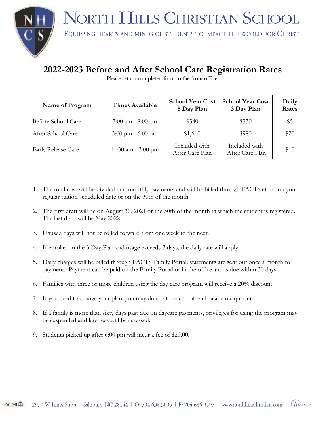## NORTH HILLS CHRISTIAN SCHOO



EQUIPPING HEARTS AND MINDS OF STUDENTS TO IMPACT THE WORLD FOR CHRIST

## **2022-2023 Before and After School Care Registration Rates**

Please return completed form to the front office.

| Name of Program    | <b>Times Available</b>              | <b>School Year Cost</b><br>5 Day Plan | <b>School Year Cost</b><br>3 Day Plan | Daily<br>Rates |
|--------------------|-------------------------------------|---------------------------------------|---------------------------------------|----------------|
| Before School Care | $7:00$ am - $8:00$ am               | \$540                                 | \$330                                 | \$5            |
| After School Care  | $3:00 \text{ pm} - 6:00 \text{ pm}$ | \$1,610                               | \$980                                 | \$20           |
| Early Release Care | 11:30 am - 3:00 pm                  | Included with<br>After Care Plan      | Included with<br>After Care Plan      | \$10           |

- 1. The total cost will be divided into monthly payments and will be billed through FACTS either on your regular tuition scheduled date or on the 30th of the month.
- 2. The first draft will be on August 30, 2021 or the 30th of the month in which the student is registered. The last draft will be May 2022.
- 3. Unused days will not be rolled forward from one week to the next.
- 4. If enrolled in the 3 Day Plan and usage exceeds 3 days, the daily rate will apply.
- 5. Daily charges will be billed through FACTS Family Portal; statements are sent out once a month for payment. Payment can be paid on the Family Portal or in the office and is due within 30 days.
- 6. Families with three or more children using the day care program will receive a 20% discount.
- 7. If you need to change your plan, you may do so at the end of each academic quarter.
- 8. If a family is more than sixty days past due on daycare payments, privileges for using the program may be suspended and late fees will be assessed.
- 9. Students picked up after 6:00 pm will incur a fee of \$20.00.